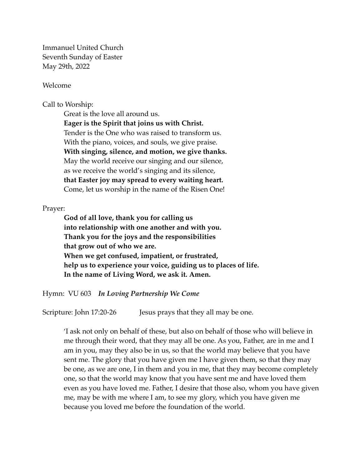Immanuel United Church Seventh Sunday of Easter May 29th, 2022

Welcome

Call to Worship:

Great is the love all around us. **Eager is the Spirit that joins us with Christ.**  Tender is the One who was raised to transform us. With the piano, voices, and souls, we give praise. **With singing, silence, and motion, we give thanks.**  May the world receive our singing and our silence, as we receive the world's singing and its silence, **that Easter joy may spread to every waiting heart.**  Come, let us worship in the name of the Risen One!

## Prayer:

**God of all love, thank you for calling us into relationship with one another and with you. Thank you for the joys and the responsibilities that grow out of who we are. When we get confused, impatient, or frustrated, help us to experience your voice, guiding us to places of life. In the name of Living Word, we ask it. Amen.** 

Hymn: VU 603 *In Loving Partnership We Come*

Scripture: John 17:20-26 Jesus prays that they all may be one.

'I ask not only on behalf of these, but also on behalf of those who will believe in me through their word, that they may all be one. As you, Father, are in me and I am in you, may they also be in us, so that the world may believe that you have sent me. The glory that you have given me I have given them, so that they may be one, as we are one, I in them and you in me, that they may become completely one, so that the world may know that you have sent me and have loved them even as you have loved me. Father, I desire that those also, whom you have given me, may be with me where I am, to see my glory, which you have given me because you loved me before the foundation of the world.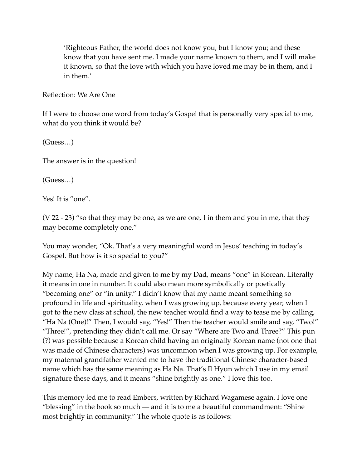'Righteous Father, the world does not know you, but I know you; and these know that you have sent me. I made your name known to them, and I will make it known, so that the love with which you have loved me may be in them, and I in them.'

Reflection: We Are One

If I were to choose one word from today's Gospel that is personally very special to me, what do you think it would be?

(Guess…)

The answer is in the question!

(Guess…)

Yes! It is "one".

(V 22 - 23) "so that they may be one, as we are one, I in them and you in me, that they may become completely one,"

You may wonder, "Ok. That's a very meaningful word in Jesus' teaching in today's Gospel. But how is it so special to you?"

My name, Ha Na, made and given to me by my Dad, means "one" in Korean. Literally it means in one in number. It could also mean more symbolically or poetically "becoming one" or "in unity." I didn't know that my name meant something so profound in life and spirituality, when I was growing up, because every year, when I got to the new class at school, the new teacher would find a way to tease me by calling, "Ha Na (One)!" Then, I would say, "Yes!" Then the teacher would smile and say, "Two!" "Three!", pretending they didn't call me. Or say "Where are Two and Three?" This pun (?) was possible because a Korean child having an originally Korean name (not one that was made of Chinese characters) was uncommon when I was growing up. For example, my maternal grandfather wanted me to have the traditional Chinese character-based name which has the same meaning as Ha Na. That's Il Hyun which I use in my email signature these days, and it means "shine brightly as one." I love this too.

This memory led me to read Embers, written by Richard Wagamese again. I love one "blessing" in the book so much — and it is to me a beautiful commandment: "Shine most brightly in community." The whole quote is as follows: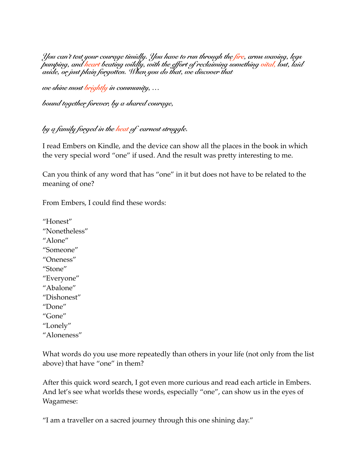You can't test your courage timidly. You have to run through the <mark>fire</mark>, arms waving, legs<br>bumping, and <mark>heart</mark> beating wildly, with the effort of reclaiming something <mark>vital</mark>, lost, laid *aside, or just plain forgotten. When you do that, we discover that* 

*we shine most brightly in community, …* 

*bound together forever, by a shared courage,* 

## *by a family forged in the heat of earnest struggle.*

I read Embers on Kindle, and the device can show all the places in the book in which the very special word "one" if used. And the result was pretty interesting to me.

Can you think of any word that has "one" in it but does not have to be related to the meaning of one?

From Embers, I could find these words:

"Honest" "Nonetheless" "Alone" "Someone" "Oneness" "Stone" "Everyone" "Abalone" "Dishonest" "Done" "Gone" "Lonely" "Aloneness"

What words do you use more repeatedly than others in your life (not only from the list above) that have "one" in them?

After this quick word search, I got even more curious and read each article in Embers. And let's see what worlds these words, especially "one", can show us in the eyes of Wagamese:

"I am a traveller on a sacred journey through this one shining day."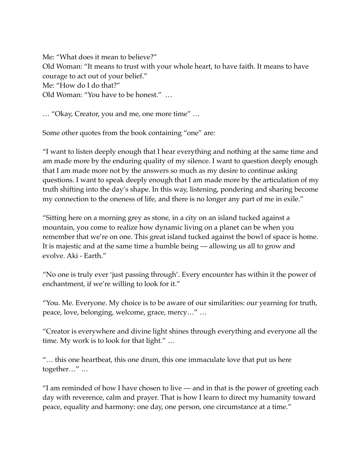Me: "What does it mean to believe?" Old Woman: "It means to trust with your whole heart, to have faith. It means to have courage to act out of your belief." Me: "How do I do that?" Old Woman: "You have to be honest." …

… "Okay, Creator, you and me, one more time" …

Some other quotes from the book containing "one" are:

"I want to listen deeply enough that I hear everything and nothing at the same time and am made more by the enduring quality of my silence. I want to question deeply enough that I am made more not by the answers so much as my desire to continue asking questions. I want to speak deeply enough that I am made more by the articulation of my truth shifting into the day's shape. In this way, listening, pondering and sharing become my connection to the oneness of life, and there is no longer any part of me in exile."

"Sitting here on a morning grey as stone, in a city on an island tucked against a mountain, you come to realize how dynamic living on a planet can be when you remember that we're on one. This great island tucked against the bowl of space is home. It is majestic and at the same time a humble being — allowing us all to grow and evolve. Aki - Earth."

"No one is truly ever 'just passing through'. Every encounter has within it the power of enchantment, if we're willing to look for it."

"You. Me. Everyone. My choice is to be aware of our similarities: our yearning for truth, peace, love, belonging, welcome, grace, mercy…" …

"Creator is everywhere and divine light shines through everything and everyone all the time. My work is to look for that light." …

"… this one heartbeat, this one drum, this one immaculate love that put us here together…" …

"I am reminded of how I have chosen to live — and in that is the power of greeting each day with reverence, calm and prayer. That is how I learn to direct my humanity toward peace, equality and harmony: one day, one person, one circumstance at a time."